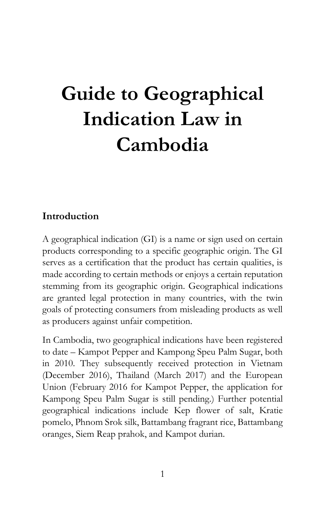# **Guide to Geographical Indication Law in Cambodia**

## **Introduction**

A geographical indication (GI) is a name or sign used on certain products corresponding to a specific geographic origin. The GI serves as a certification that the product has certain qualities, is made according to certain methods or enjoys a certain reputation stemming from its geographic origin. Geographical indications are granted legal protection in many countries, with the twin goals of protecting consumers from misleading products as well as producers against unfair competition.

In Cambodia, two geographical indications have been registered to date – Kampot Pepper and Kampong Speu Palm Sugar, both in 2010. They subsequently received protection in Vietnam (December 2016), Thailand (March 2017) and the European Union (February 2016 for Kampot Pepper, the application for Kampong Speu Palm Sugar is still pending.) Further potential geographical indications include Kep flower of salt, Kratie pomelo, Phnom Srok silk, Battambang fragrant rice, Battambang oranges, Siem Reap prahok, and Kampot durian.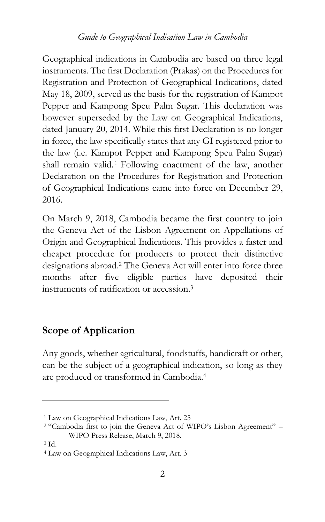Geographical indications in Cambodia are based on three legal instruments. The first Declaration (Prakas) on the Procedures for Registration and Protection of Geographical Indications, dated May 18, 2009, served as the basis for the registration of Kampot Pepper and Kampong Speu Palm Sugar. This declaration was however superseded by the Law on Geographical Indications, dated January 20, 2014. While this first Declaration is no longer in force, the law specifically states that any GI registered prior to the law (i.e. Kampot Pepper and Kampong Speu Palm Sugar) shall remain valid.<sup>1</sup> Following enactment of the law, another Declaration on the Procedures for Registration and Protection of Geographical Indications came into force on December 29, 2016.

On March 9, 2018, Cambodia became the first country to join the Geneva Act of the Lisbon Agreement on Appellations of Origin and Geographical Indications. This provides a faster and cheaper procedure for producers to protect their distinctive designations abroad.<sup>2</sup> The Geneva Act will enter into force three months after five eligible parties have deposited their instruments of ratification or accession.<sup>3</sup>

## **Scope of Application**

Any goods, whether agricultural, foodstuffs, handicraft or other, can be the subject of a geographical indication, so long as they are produced or transformed in Cambodia.<sup>4</sup>

<sup>1</sup> Law on Geographical Indications Law, Art. 25

<sup>2</sup> "Cambodia first to join the Geneva Act of WIPO's Lisbon Agreement" – WIPO Press Release, March 9, 2018.

<sup>3</sup> Id.

<sup>4</sup> Law on Geographical Indications Law, Art. 3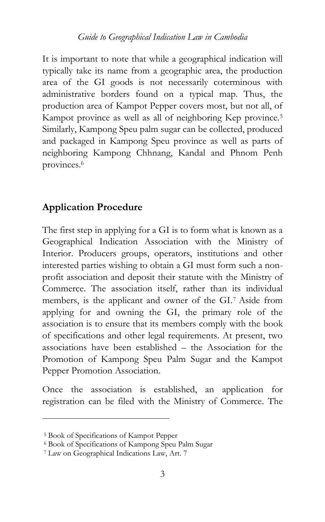It is important to note that while a geographical indication will typically take its name from a geographic area, the production area of the GI goods is not necessarily coterminous with administrative borders found on a typical map. Thus, the production area of Kampot Pepper covers most, but not all, of Kampot province as well as all of neighboring Kep province.<sup>5</sup> Similarly, Kampong Speu palm sugar can be collected, produced and packaged in Kampong Speu province as well as parts of neighboring Kampong Chhnang, Kandal and Phnom Penh provinces.<sup>6</sup>

## **Application Procedure**

The first step in applying for a GI is to form what is known as a Geographical Indication Association with the Ministry of Interior. Producers groups, operators, institutions and other interested parties wishing to obtain a GI must form such a nonprofit association and deposit their statute with the Ministry of Commerce. The association itself, rather than its individual members, is the applicant and owner of the GI.<sup>7</sup> Aside from applying for and owning the GI, the primary role of the association is to ensure that its members comply with the book of specifications and other legal requirements. At present, two associations have been established – the Association for the Promotion of Kampong Speu Palm Sugar and the Kampot Pepper Promotion Association.

Once the association is established, an application for registration can be filed with the Ministry of Commerce. The

<sup>5</sup> Book of Specifications of Kampot Pepper

<sup>6</sup> Book of Specifications of Kampong Speu Palm Sugar

<sup>7</sup> Law on Geographical Indications Law, Art. 7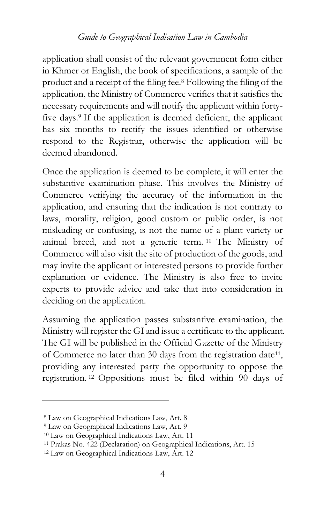application shall consist of the relevant government form either in Khmer or English, the book of specifications, a sample of the product and a receipt of the filing fee.<sup>8</sup> Following the filing of the application, the Ministry of Commerce verifies that it satisfies the necessary requirements and will notify the applicant within fortyfive days.<sup>9</sup> If the application is deemed deficient, the applicant has six months to rectify the issues identified or otherwise respond to the Registrar, otherwise the application will be deemed abandoned.

Once the application is deemed to be complete, it will enter the substantive examination phase. This involves the Ministry of Commerce verifying the accuracy of the information in the application, and ensuring that the indication is not contrary to laws, morality, religion, good custom or public order, is not misleading or confusing, is not the name of a plant variety or animal breed, and not a generic term. <sup>10</sup> The Ministry of Commerce will also visit the site of production of the goods, and may invite the applicant or interested persons to provide further explanation or evidence. The Ministry is also free to invite experts to provide advice and take that into consideration in deciding on the application.

Assuming the application passes substantive examination, the Ministry will register the GI and issue a certificate to the applicant. The GI will be published in the Official Gazette of the Ministry of Commerce no later than 30 days from the registration date<sup>11</sup>, providing any interested party the opportunity to oppose the registration. <sup>12</sup> Oppositions must be filed within 90 days of

<sup>8</sup> Law on Geographical Indications Law, Art. 8

<sup>9</sup> Law on Geographical Indications Law, Art. 9

<sup>10</sup> Law on Geographical Indications Law, Art. 11

<sup>11</sup> Prakas No. 422 (Declaration) on Geographical Indications, Art. 15

<sup>12</sup> Law on Geographical Indications Law, Art. 12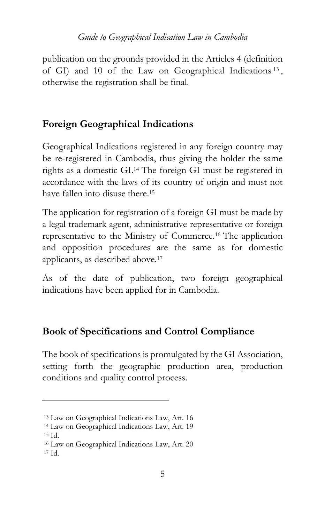publication on the grounds provided in the Articles 4 (definition of GI) and 10 of the Law on Geographical Indications <sup>13</sup> , otherwise the registration shall be final.

# **Foreign Geographical Indications**

Geographical Indications registered in any foreign country may be re-registered in Cambodia, thus giving the holder the same rights as a domestic GI.<sup>14</sup> The foreign GI must be registered in accordance with the laws of its country of origin and must not have fallen into disuse there <sup>15</sup>

The application for registration of a foreign GI must be made by a legal trademark agent, administrative representative or foreign representative to the Ministry of Commerce.<sup>16</sup> The application and opposition procedures are the same as for domestic applicants, as described above.<sup>17</sup>

As of the date of publication, two foreign geographical indications have been applied for in Cambodia.

# **Book of Specifications and Control Compliance**

The book of specifications is promulgated by the GI Association, setting forth the geographic production area, production conditions and quality control process.

<sup>13</sup> Law on Geographical Indications Law, Art. 16

<sup>14</sup> Law on Geographical Indications Law, Art. 19

<sup>15</sup> Id.

<sup>16</sup> Law on Geographical Indications Law, Art. 20  $17 \text{ Id}$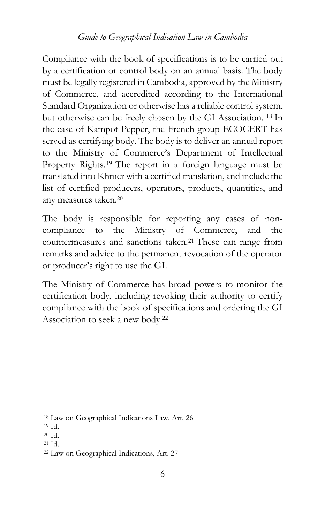Compliance with the book of specifications is to be carried out by a certification or control body on an annual basis. The body must be legally registered in Cambodia, approved by the Ministry of Commerce, and accredited according to the International Standard Organization or otherwise has a reliable control system, but otherwise can be freely chosen by the GI Association. <sup>18</sup> In the case of Kampot Pepper, the French group ECOCERT has served as certifying body. The body is to deliver an annual report to the Ministry of Commerce's Department of Intellectual Property Rights. <sup>19</sup> The report in a foreign language must be translated into Khmer with a certified translation, and include the list of certified producers, operators, products, quantities, and any measures taken.<sup>20</sup>

The body is responsible for reporting any cases of noncompliance to the Ministry of Commerce, and the countermeasures and sanctions taken.<sup>21</sup> These can range from remarks and advice to the permanent revocation of the operator or producer's right to use the GI.

The Ministry of Commerce has broad powers to monitor the certification body, including revoking their authority to certify compliance with the book of specifications and ordering the GI Association to seek a new body.<sup>22</sup>

<sup>18</sup> Law on Geographical Indications Law, Art. 26

<sup>19</sup> Id.

<sup>20</sup> Id.

<sup>21</sup> Id.

<sup>22</sup> Law on Geographical Indications, Art. 27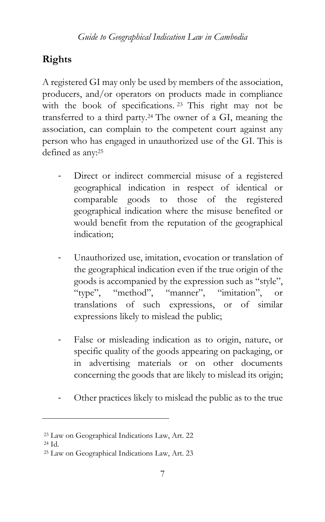# **Rights**

A registered GI may only be used by members of the association, producers, and/or operators on products made in compliance with the book of specifications. <sup>23</sup> This right may not be transferred to a third party.<sup>24</sup> The owner of a GI, meaning the association, can complain to the competent court against any person who has engaged in unauthorized use of the GI. This is defined as any:<sup>25</sup>

- Direct or indirect commercial misuse of a registered geographical indication in respect of identical or comparable goods to those of the registered geographical indication where the misuse benefited or would benefit from the reputation of the geographical indication;
- Unauthorized use, imitation, evocation or translation of the geographical indication even if the true origin of the goods is accompanied by the expression such as "style", "type", "method", "manner", "imitation", or translations of such expressions, or of similar expressions likely to mislead the public;
- False or misleading indication as to origin, nature, or specific quality of the goods appearing on packaging, or in advertising materials or on other documents concerning the goods that are likely to mislead its origin;
- Other practices likely to mislead the public as to the true

<sup>23</sup> Law on Geographical Indications Law, Art. 22

<sup>24</sup> Id.

<sup>25</sup> Law on Geographical Indications Law, Art. 23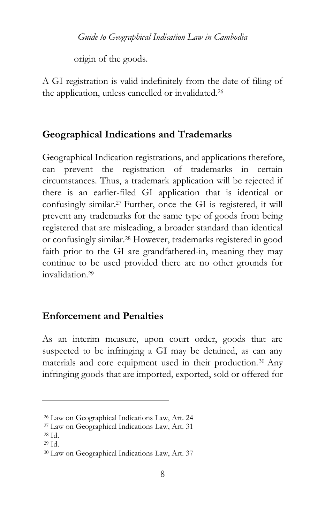origin of the goods.

A GI registration is valid indefinitely from the date of filing of the application, unless cancelled or invalidated.<sup>26</sup>

### **Geographical Indications and Trademarks**

Geographical Indication registrations, and applications therefore, can prevent the registration of trademarks in certain circumstances. Thus, a trademark application will be rejected if there is an earlier-filed GI application that is identical or confusingly similar.<sup>27</sup> Further, once the GI is registered, it will prevent any trademarks for the same type of goods from being registered that are misleading, a broader standard than identical or confusingly similar.<sup>28</sup> However, trademarks registered in good faith prior to the GI are grandfathered-in, meaning they may continue to be used provided there are no other grounds for invalidation.<sup>29</sup>

### **Enforcement and Penalties**

As an interim measure, upon court order, goods that are suspected to be infringing a GI may be detained, as can any materials and core equipment used in their production.<sup>30</sup> Any infringing goods that are imported, exported, sold or offered for

<sup>26</sup> Law on Geographical Indications Law, Art. 24

<sup>27</sup> Law on Geographical Indications Law, Art. 31

<sup>28</sup> Id.

<sup>29</sup> Id.

<sup>30</sup> Law on Geographical Indications Law, Art. 37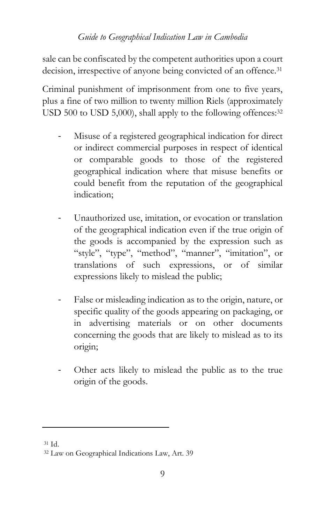sale can be confiscated by the competent authorities upon a court decision, irrespective of anyone being convicted of an offence.<sup>31</sup>

Criminal punishment of imprisonment from one to five years, plus a fine of two million to twenty million Riels (approximately USD 500 to USD 5,000), shall apply to the following offences:<sup>32</sup>

- Misuse of a registered geographical indication for direct or indirect commercial purposes in respect of identical or comparable goods to those of the registered geographical indication where that misuse benefits or could benefit from the reputation of the geographical indication;
- Unauthorized use, imitation, or evocation or translation of the geographical indication even if the true origin of the goods is accompanied by the expression such as "style", "type", "method", "manner", "imitation", or translations of such expressions, or of similar expressions likely to mislead the public;
- False or misleading indication as to the origin, nature, or specific quality of the goods appearing on packaging, or in advertising materials or on other documents concerning the goods that are likely to mislead as to its origin;
- Other acts likely to mislead the public as to the true origin of the goods.

<sup>31</sup> Id.

<sup>32</sup> Law on Geographical Indications Law, Art. 39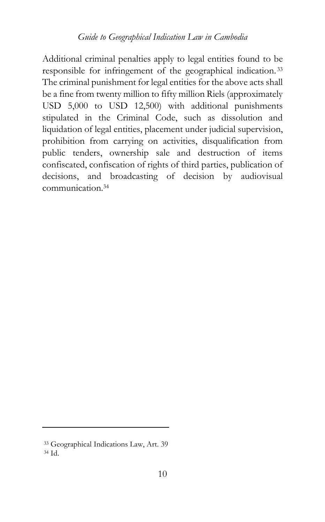Additional criminal penalties apply to legal entities found to be responsible for infringement of the geographical indication. <sup>33</sup> The criminal punishment for legal entities for the above acts shall be a fine from twenty million to fifty million Riels (approximately USD 5,000 to USD 12,500) with additional punishments stipulated in the Criminal Code, such as dissolution and liquidation of legal entities, placement under judicial supervision, prohibition from carrying on activities, disqualification from public tenders, ownership sale and destruction of items confiscated, confiscation of rights of third parties, publication of decisions, and broadcasting of decision by audiovisual communication.<sup>34</sup>

<sup>33</sup> Geographical Indications Law, Art. 39 <sup>34</sup> Id.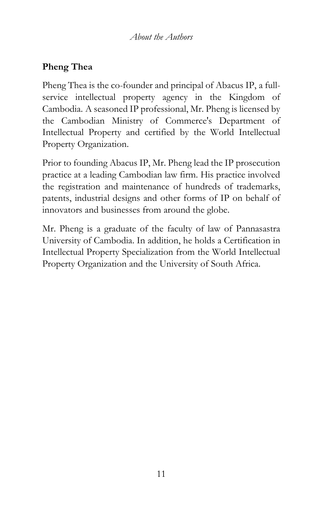## **Pheng Thea**

Pheng Thea is the co-founder and principal of Abacus IP, a fullservice intellectual property agency in the Kingdom of Cambodia. A seasoned IP professional, Mr. Pheng is licensed by the Cambodian Ministry of Commerce's Department of Intellectual Property and certified by the World Intellectual Property Organization.

Prior to founding Abacus IP, Mr. Pheng lead the IP prosecution practice at a leading Cambodian law firm. His practice involved the registration and maintenance of hundreds of trademarks, patents, industrial designs and other forms of IP on behalf of innovators and businesses from around the globe.

Mr. Pheng is a graduate of the faculty of law of Pannasastra University of Cambodia. In addition, he holds a Certification in Intellectual Property Specialization from the World Intellectual Property Organization and the University of South Africa.